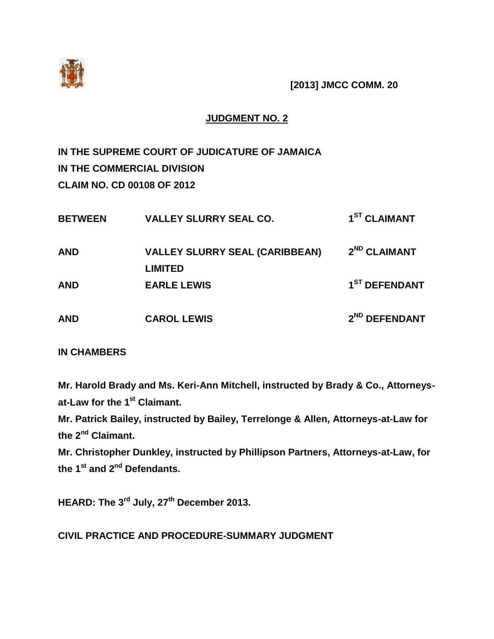

**[2013] JMCC COMM. 20**

## **JUDGMENT NO. 2**

**IN THE SUPREME COURT OF JUDICATURE OF JAMAICA IN THE COMMERCIAL DIVISION CLAIM NO. CD 00108 OF 2012**

| <b>BETWEEN</b> | <b>VALLEY SLURRY SEAL CO.</b>         | 1 <sup>ST</sup> CLAIMANT  |
|----------------|---------------------------------------|---------------------------|
| <b>AND</b>     | <b>VALLEY SLURRY SEAL (CARIBBEAN)</b> | 2 <sup>ND</sup> CLAIMANT  |
| <b>AND</b>     | <b>LIMITED</b><br><b>EARLE LEWIS</b>  | 1 <sup>ST</sup> DEFENDANT |
| <b>AND</b>     | <b>CAROL LEWIS</b>                    | 2 <sup>ND</sup> DEFENDANT |

## **IN CHAMBERS**

**Mr. Harold Brady and Ms. Keri-Ann Mitchell, instructed by Brady & Co., Attorneysat-Law for the 1st Claimant.**

**Mr. Patrick Bailey, instructed by Bailey, Terrelonge & Allen, Attorneys-at-Law for the 2nd Claimant.**

**Mr. Christopher Dunkley, instructed by Phillipson Partners, Attorneys-at-Law, for the 1st and 2nd Defendants.**

**HEARD: The 3rd July, 27 th December 2013.**

**CIVIL PRACTICE AND PROCEDURE-SUMMARY JUDGMENT**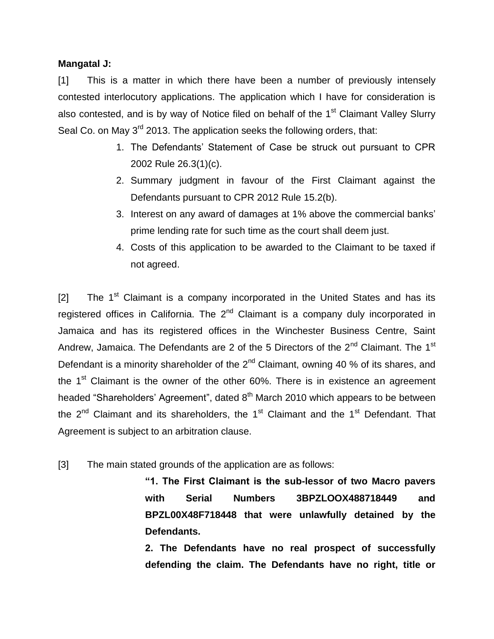### **Mangatal J:**

[1] This is a matter in which there have been a number of previously intensely contested interlocutory applications. The application which I have for consideration is also contested, and is by way of Notice filed on behalf of the 1<sup>st</sup> Claimant Valley Slurry Seal Co. on May 3<sup>rd</sup> 2013. The application seeks the following orders, that:

- 1. The Defendants' Statement of Case be struck out pursuant to CPR 2002 Rule 26.3(1)(c).
- 2. Summary judgment in favour of the First Claimant against the Defendants pursuant to CPR 2012 Rule 15.2(b).
- 3. Interest on any award of damages at 1% above the commercial banks' prime lending rate for such time as the court shall deem just.
- 4. Costs of this application to be awarded to the Claimant to be taxed if not agreed.

 $[2]$  The 1<sup>st</sup> Claimant is a company incorporated in the United States and has its registered offices in California. The  $2<sup>nd</sup>$  Claimant is a company duly incorporated in Jamaica and has its registered offices in the Winchester Business Centre, Saint Andrew, Jamaica. The Defendants are 2 of the 5 Directors of the  $2^{nd}$  Claimant. The 1<sup>st</sup> Defendant is a minority shareholder of the  $2<sup>nd</sup>$  Claimant, owning 40 % of its shares, and the  $1<sup>st</sup>$  Claimant is the owner of the other 60%. There is in existence an agreement headed "Shareholders' Agreement", dated 8<sup>th</sup> March 2010 which appears to be between the  $2<sup>nd</sup>$  Claimant and its shareholders, the 1<sup>st</sup> Claimant and the 1<sup>st</sup> Defendant. That Agreement is subject to an arbitration clause.

[3] The main stated grounds of the application are as follows:

**"1. The First Claimant is the sub-lessor of two Macro pavers with Serial Numbers 3BPZLOOX488718449 and BPZL00X48F718448 that were unlawfully detained by the Defendants.**

**2. The Defendants have no real prospect of successfully defending the claim. The Defendants have no right, title or**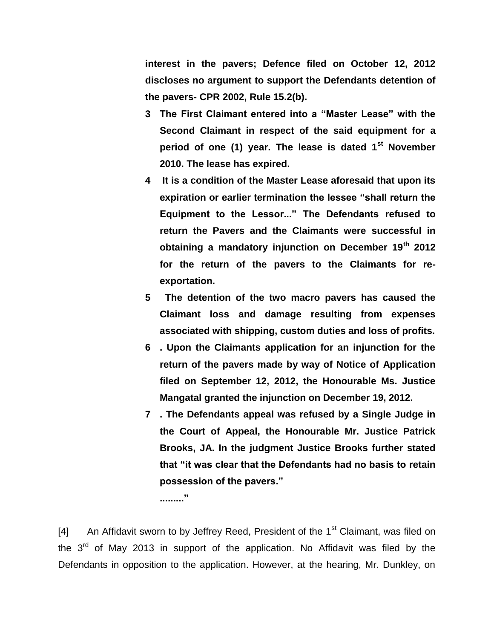**interest in the pavers; Defence filed on October 12, 2012 discloses no argument to support the Defendants detention of the pavers- CPR 2002, Rule 15.2(b).**

- **3 The First Claimant entered into a "Master Lease" with the Second Claimant in respect of the said equipment for a period of one (1) year. The lease is dated 1st November 2010. The lease has expired.**
- **4 It is a condition of the Master Lease aforesaid that upon its expiration or earlier termination the lessee "shall return the Equipment to the Lessor..." The Defendants refused to return the Pavers and the Claimants were successful in obtaining a mandatory injunction on December 19th 2012 for the return of the pavers to the Claimants for reexportation.**
- **5 The detention of the two macro pavers has caused the Claimant loss and damage resulting from expenses associated with shipping, custom duties and loss of profits.**
- **6 . Upon the Claimants application for an injunction for the return of the pavers made by way of Notice of Application filed on September 12, 2012, the Honourable Ms. Justice Mangatal granted the injunction on December 19, 2012.**
- **7 . The Defendants appeal was refused by a Single Judge in the Court of Appeal, the Honourable Mr. Justice Patrick Brooks, JA. In the judgment Justice Brooks further stated that "it was clear that the Defendants had no basis to retain possession of the pavers."**

**........."**

[4] An Affidavit sworn to by Jeffrey Reed, President of the  $1<sup>st</sup>$  Claimant, was filed on the  $3<sup>rd</sup>$  of May 2013 in support of the application. No Affidavit was filed by the Defendants in opposition to the application. However, at the hearing, Mr. Dunkley, on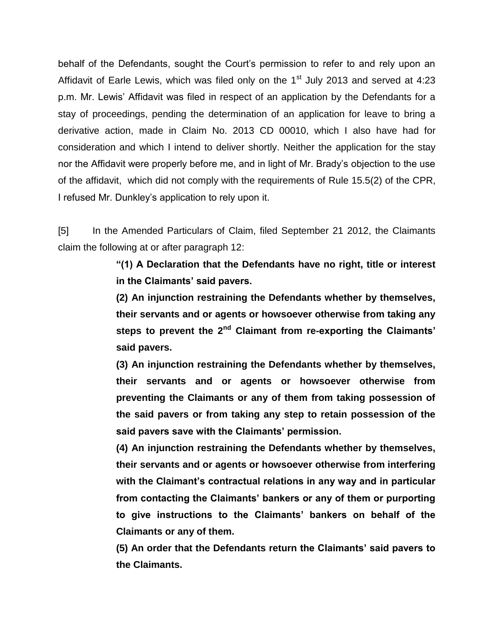behalf of the Defendants, sought the Court's permission to refer to and rely upon an Affidavit of Earle Lewis, which was filed only on the  $1<sup>st</sup>$  July 2013 and served at 4:23 p.m. Mr. Lewis' Affidavit was filed in respect of an application by the Defendants for a stay of proceedings, pending the determination of an application for leave to bring a derivative action, made in Claim No. 2013 CD 00010, which I also have had for consideration and which I intend to deliver shortly. Neither the application for the stay nor the Affidavit were properly before me, and in light of Mr. Brady's objection to the use of the affidavit, which did not comply with the requirements of Rule 15.5(2) of the CPR, I refused Mr. Dunkley's application to rely upon it.

[5] In the Amended Particulars of Claim, filed September 21 2012, the Claimants claim the following at or after paragraph 12:

> **"(1) A Declaration that the Defendants have no right, title or interest in the Claimants' said pavers.**

> **(2) An injunction restraining the Defendants whether by themselves, their servants and or agents or howsoever otherwise from taking any steps to prevent the 2nd Claimant from re-exporting the Claimants' said pavers.**

> **(3) An injunction restraining the Defendants whether by themselves, their servants and or agents or howsoever otherwise from preventing the Claimants or any of them from taking possession of the said pavers or from taking any step to retain possession of the said pavers save with the Claimants' permission.**

> **(4) An injunction restraining the Defendants whether by themselves, their servants and or agents or howsoever otherwise from interfering with the Claimant's contractual relations in any way and in particular from contacting the Claimants' bankers or any of them or purporting to give instructions to the Claimants' bankers on behalf of the Claimants or any of them.**

> **(5) An order that the Defendants return the Claimants' said pavers to the Claimants.**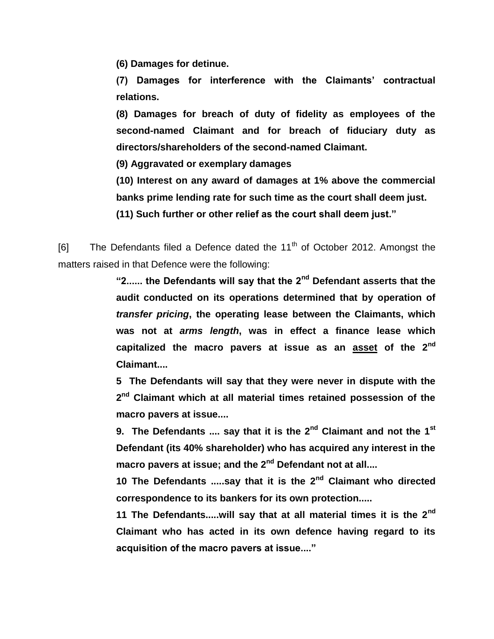**(6) Damages for detinue.**

**(7) Damages for interference with the Claimants' contractual relations.**

**(8) Damages for breach of duty of fidelity as employees of the second-named Claimant and for breach of fiduciary duty as directors/shareholders of the second-named Claimant.**

**(9) Aggravated or exemplary damages**

**(10) Interest on any award of damages at 1% above the commercial banks prime lending rate for such time as the court shall deem just.**

**(11) Such further or other relief as the court shall deem just."**

[6] The Defendants filed a Defence dated the  $11<sup>th</sup>$  of October 2012. Amongst the matters raised in that Defence were the following:

> **"2...... the Defendants will say that the 2nd Defendant asserts that the audit conducted on its operations determined that by operation of**  *transfer pricing***, the operating lease between the Claimants, which was not at** *arms length***, was in effect a finance lease which capitalized the macro pavers at issue as an asset of the 2nd Claimant....**

> **5 The Defendants will say that they were never in dispute with the 2 nd Claimant which at all material times retained possession of the macro pavers at issue....**

> **9. The Defendants .... say that it is the 2nd Claimant and not the 1st Defendant (its 40% shareholder) who has acquired any interest in the macro pavers at issue; and the 2nd Defendant not at all....**

> **10 The Defendants .....say that it is the 2nd Claimant who directed correspondence to its bankers for its own protection.....**

> **11 The Defendants.....will say that at all material times it is the 2nd Claimant who has acted in its own defence having regard to its acquisition of the macro pavers at issue...."**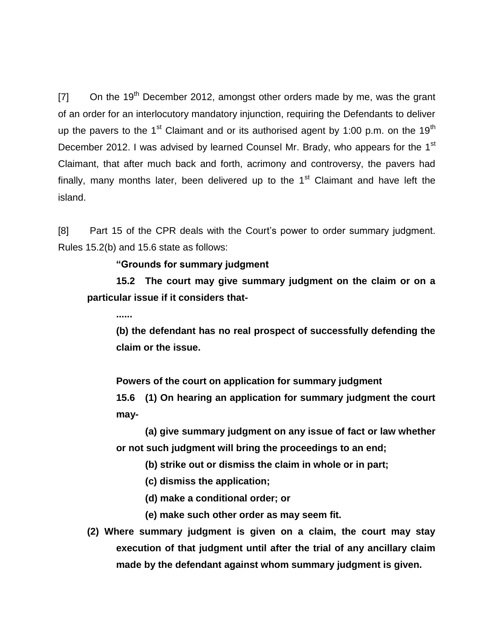$[7]$  On the 19<sup>th</sup> December 2012, amongst other orders made by me, was the grant of an order for an interlocutory mandatory injunction, requiring the Defendants to deliver up the pavers to the 1<sup>st</sup> Claimant and or its authorised agent by 1:00 p.m. on the 19<sup>th</sup> December 2012. I was advised by learned Counsel Mr. Brady, who appears for the 1<sup>st</sup> Claimant, that after much back and forth, acrimony and controversy, the pavers had finally, many months later, been delivered up to the  $1<sup>st</sup>$  Claimant and have left the island.

[8] Part 15 of the CPR deals with the Court's power to order summary judgment. Rules 15.2(b) and 15.6 state as follows:

#### **"Grounds for summary judgment**

**15.2 The court may give summary judgment on the claim or on a particular issue if it considers that-**

**......**

**(b) the defendant has no real prospect of successfully defending the claim or the issue.**

**Powers of the court on application for summary judgment**

**15.6 (1) On hearing an application for summary judgment the court may-**

**(a) give summary judgment on any issue of fact or law whether or not such judgment will bring the proceedings to an end;**

**(b) strike out or dismiss the claim in whole or in part;**

- **(c) dismiss the application;**
- **(d) make a conditional order; or**
- **(e) make such other order as may seem fit.**
- **(2) Where summary judgment is given on a claim, the court may stay execution of that judgment until after the trial of any ancillary claim made by the defendant against whom summary judgment is given.**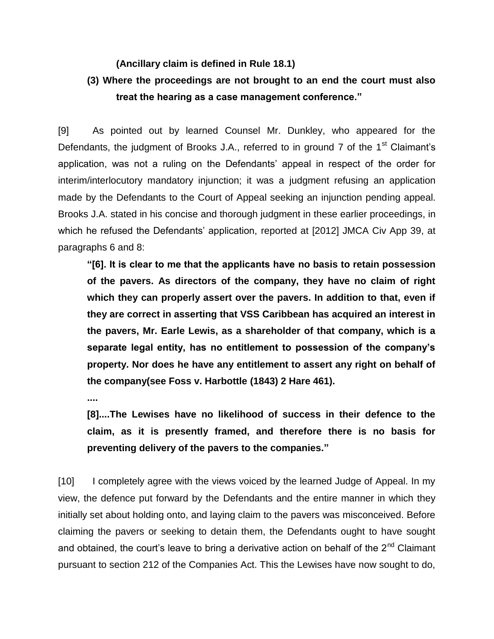#### **(Ancillary claim is defined in Rule 18.1)**

# **(3) Where the proceedings are not brought to an end the court must also treat the hearing as a case management conference."**

[9] As pointed out by learned Counsel Mr. Dunkley, who appeared for the Defendants, the judgment of Brooks J.A., referred to in ground 7 of the 1<sup>st</sup> Claimant's application, was not a ruling on the Defendants' appeal in respect of the order for interim/interlocutory mandatory injunction; it was a judgment refusing an application made by the Defendants to the Court of Appeal seeking an injunction pending appeal. Brooks J.A. stated in his concise and thorough judgment in these earlier proceedings, in which he refused the Defendants' application, reported at [2012] JMCA Civ App 39, at paragraphs 6 and 8:

**"[6]. It is clear to me that the applicants have no basis to retain possession of the pavers. As directors of the company, they have no claim of right which they can properly assert over the pavers. In addition to that, even if they are correct in asserting that VSS Caribbean has acquired an interest in the pavers, Mr. Earle Lewis, as a shareholder of that company, which is a separate legal entity, has no entitlement to possession of the company's property. Nor does he have any entitlement to assert any right on behalf of the company(see Foss v. Harbottle (1843) 2 Hare 461).**

**....**

**[8]....The Lewises have no likelihood of success in their defence to the claim, as it is presently framed, and therefore there is no basis for preventing delivery of the pavers to the companies."**

[10] I completely agree with the views voiced by the learned Judge of Appeal. In my view, the defence put forward by the Defendants and the entire manner in which they initially set about holding onto, and laying claim to the pavers was misconceived. Before claiming the pavers or seeking to detain them, the Defendants ought to have sought and obtained, the court's leave to bring a derivative action on behalf of the  $2<sup>nd</sup>$  Claimant pursuant to section 212 of the Companies Act. This the Lewises have now sought to do,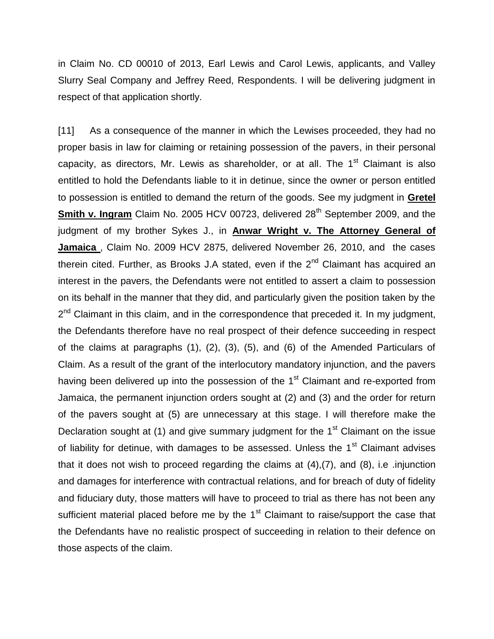in Claim No. CD 00010 of 2013, Earl Lewis and Carol Lewis, applicants, and Valley Slurry Seal Company and Jeffrey Reed, Respondents. I will be delivering judgment in respect of that application shortly.

[11] As a consequence of the manner in which the Lewises proceeded, they had no proper basis in law for claiming or retaining possession of the pavers, in their personal capacity, as directors, Mr. Lewis as shareholder, or at all. The  $1<sup>st</sup>$  Claimant is also entitled to hold the Defendants liable to it in detinue, since the owner or person entitled to possession is entitled to demand the return of the goods. See my judgment in **Gretel Smith v. Ingram** Claim No. 2005 HCV 00723, delivered 28<sup>th</sup> September 2009, and the judgment of my brother Sykes J., in **Anwar Wright v. The Attorney General of Jamaica** , Claim No. 2009 HCV 2875, delivered November 26, 2010, and the cases therein cited. Further, as Brooks J.A stated, even if the  $2<sup>nd</sup>$  Claimant has acquired an interest in the pavers, the Defendants were not entitled to assert a claim to possession on its behalf in the manner that they did, and particularly given the position taken by the 2<sup>nd</sup> Claimant in this claim, and in the correspondence that preceded it. In my judgment, the Defendants therefore have no real prospect of their defence succeeding in respect of the claims at paragraphs (1), (2), (3), (5), and (6) of the Amended Particulars of Claim. As a result of the grant of the interlocutory mandatory injunction, and the pavers having been delivered up into the possession of the  $1<sup>st</sup>$  Claimant and re-exported from Jamaica, the permanent injunction orders sought at (2) and (3) and the order for return of the pavers sought at (5) are unnecessary at this stage. I will therefore make the Declaration sought at  $(1)$  and give summary judgment for the 1<sup>st</sup> Claimant on the issue of liability for detinue, with damages to be assessed. Unless the  $1<sup>st</sup>$  Claimant advises that it does not wish to proceed regarding the claims at (4),(7), and (8), i.e .injunction and damages for interference with contractual relations, and for breach of duty of fidelity and fiduciary duty, those matters will have to proceed to trial as there has not been any sufficient material placed before me by the 1<sup>st</sup> Claimant to raise/support the case that the Defendants have no realistic prospect of succeeding in relation to their defence on those aspects of the claim.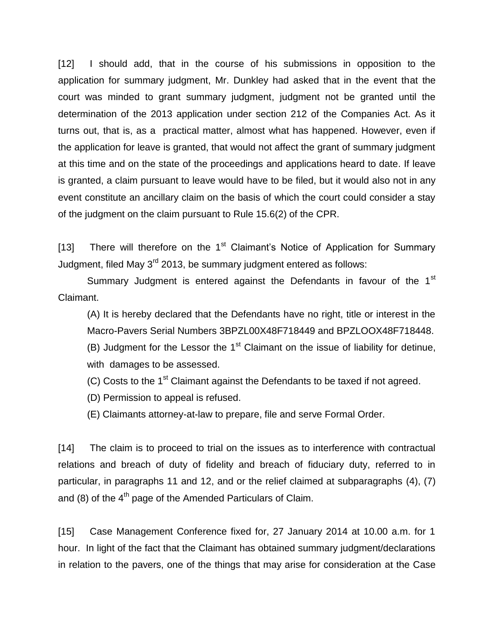[12] I should add, that in the course of his submissions in opposition to the application for summary judgment, Mr. Dunkley had asked that in the event that the court was minded to grant summary judgment, judgment not be granted until the determination of the 2013 application under section 212 of the Companies Act. As it turns out, that is, as a practical matter, almost what has happened. However, even if the application for leave is granted, that would not affect the grant of summary judgment at this time and on the state of the proceedings and applications heard to date. If leave is granted, a claim pursuant to leave would have to be filed, but it would also not in any event constitute an ancillary claim on the basis of which the court could consider a stay of the judgment on the claim pursuant to Rule 15.6(2) of the CPR.

[13] There will therefore on the  $1<sup>st</sup>$  Claimant's Notice of Application for Summary Judgment, filed May  $3^{rd}$  2013, be summary judgment entered as follows:

Summary Judgment is entered against the Defendants in favour of the 1<sup>st</sup> Claimant.

(A) It is hereby declared that the Defendants have no right, title or interest in the Macro-Pavers Serial Numbers 3BPZL00X48F718449 and BPZLOOX48F718448. (B) Judgment for the Lessor the  $1<sup>st</sup>$  Claimant on the issue of liability for detinue, with damages to be assessed.

 $(C)$  Costs to the 1<sup>st</sup> Claimant against the Defendants to be taxed if not agreed.

(D) Permission to appeal is refused.

(E) Claimants attorney-at-law to prepare, file and serve Formal Order.

[14] The claim is to proceed to trial on the issues as to interference with contractual relations and breach of duty of fidelity and breach of fiduciary duty, referred to in particular, in paragraphs 11 and 12, and or the relief claimed at subparagraphs (4), (7) and  $(8)$  of the  $4<sup>th</sup>$  page of the Amended Particulars of Claim.

[15] Case Management Conference fixed for, 27 January 2014 at 10.00 a.m. for 1 hour. In light of the fact that the Claimant has obtained summary judgment/declarations in relation to the pavers, one of the things that may arise for consideration at the Case